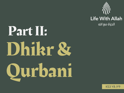

# Dhikr & Qurbani Part II:

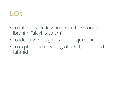## LOs

- To infer key life lessons from the story of Ibrahim ('alayhis salam)
- To identify the significance of qurbani
- To explain the meaning of tahlil, takbir and tahmid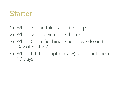## **Starter**

- 1) What are the takbirat of tashriq?
- 2) When should we recite them?
- 3) What 3 specific things should we do on the Day of Arafah?
- 4) What did the Prophet (saw) say about these 10 days?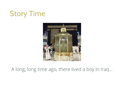# Story Time



#### A long, long time ago, there lived a boy in Iraq…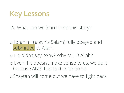

[A] What can we learn from this story?

- o Ibrahim ('alayhis Salam) fully obeyed and submitted to Allah.
- o He didn't say: Why? Why ME O Allah?
- o Even if it doesn't make sense to us, we do it because Allah has told us to do so!

oShaytan will come but we have to fight back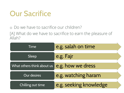# Our Sacrifice

o Do we have to sacrifice our children?

[A] What do we have to sacrifice to earn the pleasure of Allah?

| Time                       | e.g. salah on time     |  |
|----------------------------|------------------------|--|
| Sleep                      | e.g. Fajr              |  |
| What others think about us | e.g. how we dress      |  |
| <b>Our desires</b>         | e.g. watching haram    |  |
| Chilling out time          | e.g. seeking knowledge |  |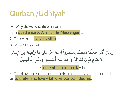# Qurbani/Udhiyah

[A] Why do we sacrifice an animal?

1. In obedience to Allah & His Messenger

- 2. To become close to Allah
- 3. [A] Write 22:34

ْ وَلِكُلِّ أُمَّةٍ جَعَلْنَا مَنسَكًا لِّيَذْكُرُواْ اسْمَ اللَّهِ عَلَى مَا رَزَقَهُمْ مِّن بَهِيمَةِ ا<br>په <u>ل</u> ِ<br>المالي  $\frac{1}{1}$ ِّ<br>ِم  $\sum_{i=1}^{n}$ المناخ<br>المناخ  $\frac{1}{2}$  $\ddot{\phantom{0}}$ ۠<br>ا  $\ddot{\phantom{0}}$  $\overline{\phantom{a}}$  $\sum_{i=1}^{n}$  $\frac{1}{2}$  $\frac{1}{2}$ <u>ل</u>  $\frac{1}{2}$  $\frac{1}{2}$ ْ  $\frac{1}{2}$  $\frac{1}{2}$  $\frac{1}{2}$  $\frac{1}{2}$  $\frac{1}{2}$  $\frac{1}{2}$  $\overline{a}$ ֧֖֧֚֝֝֝֟֟֟֟֬֝֬֝ ۠<br>ໍ  $\frac{1}{2}$  $\sum_{i=1}^{n}$  $\overline{\phantom{a}}$ ِ فَلَهُ أَسْلِ ؙ<br>
<sub>ۣ</sub> र<br>निकल<br>निकल ्<br>देखें<br>च ں<br>ا  $\frac{1}{2}$  $\frac{1}{2}$ ِحد ا و  $\ddot{\phantom{0}}$ ً ب<br>الم<br>الم الأنْعَامِ فَإِلَهُكُمْ إِلَهٌ وَاحِدٌ فَلَهُ أَسْلِمُواْ وَبَشِّرِ الْمُخْبِتِينَ ै।<br> $\frac{1}{2}$  $\frac{1}{2}$ ْ ا<br>پر  $\frac{1}{2}$  $\ddot{\phantom{0}}$ **}**  $\frac{1}{2}$  $\overline{\phantom{a}}$ ا<br>الأمريكيوني<br>الأمريكيوني ्<br>र  $\ddot{\phantom{0}}$  $\ddot{\hat{r}}$  $\frac{1}{2}$ "<br>فر  $\begin{matrix} \overbrace{\phantom{a}}^{\phantom{a}}\\ \overline{\phantom{a}}^{\phantom{a}}\\ \overline{\phantom{a}}^{\phantom{a}}\end{matrix}$ مُواْ وَبَشِّرِ الْمُ <u>ر</u> ِّ  $\frac{1}{2}$  $\ddot{\phantom{0}}$ ا<br>ا  $\frac{1}{2}$ 

To **remember and thank** Allah

4. To follow the sunnah of Ibrahim ('alayhis Salam). It reminds us to prefer and love Allah over our own desires.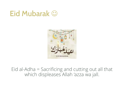# Eid Mubarak **☺**



#### Eid al-Adha = Sacrificing and cutting out all that which displeases Allah 'azza wa jall.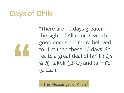# Days of Dhikr



"There are no days greater in the sight of Allah or in which good deeds are more beloved to Him than these 10 days. So recite a great deal of tahlīl (ه إل ال  $\frac{1}{\sqrt{2}}$  $\tilde{z}$ اللَّهُ أَكْبَرُ), takbīr (اللَّهُ الكَّهُ) and tahmīd ֧֝֟֓֓֓֓֓֓֓֓֓֓֓֓֓֓֓֓֟׆֧<br>֧֝֓֓ ُ  $\frac{1}{2}$ بر ْ  $\frac{1}{2}$ ".(الْحَمْدُ للّهِ)  $\frac{1}{2}$ ْ  $\overline{\phantom{a}}$ ا<br>الج

- The Messenger of Allah<sup></sup>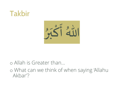## Takbir



#### o Allah is Greater than…

o What can we think of when saying 'Allahu Akbar'?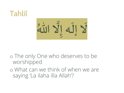## Tahlil

لَا إِلَهَ إِلاَّ اللَّهُ ֪֪֦֘֒֒֩֕֓֝֬֓֝֓֝֓֝֝֝<br>֧֪֪֝֝׀<br>֧֪֪֘֬֘<u>׀</u>  $\frac{1}{2}$ ।<br>वै َ

### o The only One who deserves to be worshipped

o What can we think of when we are saying 'La ilaha illa Allah'?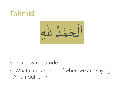# Tahmid



#### o Praise & Gratitude

o What can we think of when we are saying 'Alhamdulillah'?